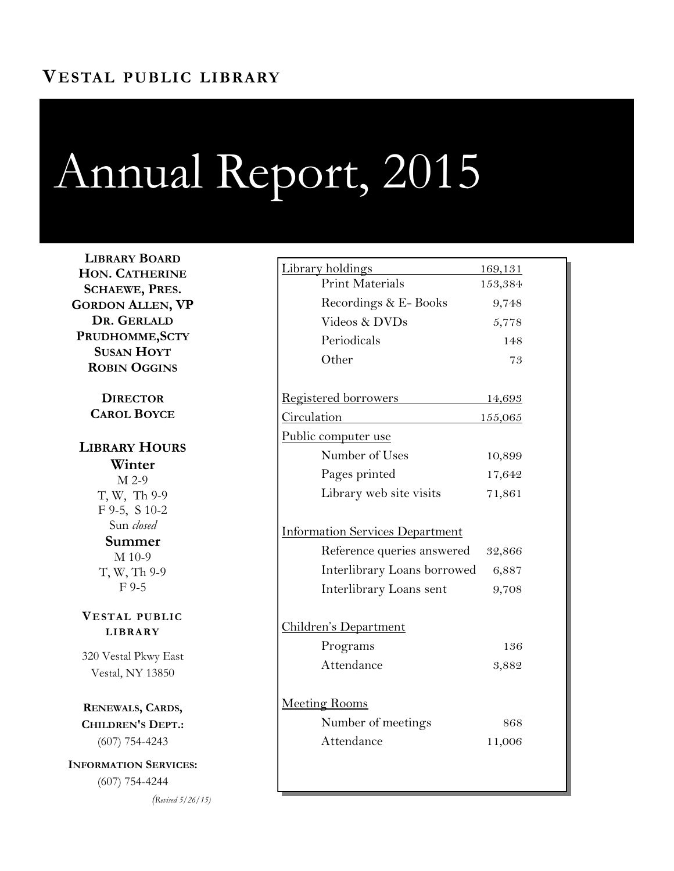## Annual Report, 2015

**LIBRARY BOARD HON. CATHERINE SCHAEWE, PRES. GORDON ALLEN, VP DR. GERLALD PRUDHOMME,SCTY SUSAN HOYT ROBIN OGGINS**

> **DIRECTOR CAROL BOYCE**

**LIBRARY HOURS Winter** M 2-9 T, W, Th 9-9 F 9-5, S 10-2 Sun *closed* **Summer** M 10-9 T, W, Th 9-9 F 9-5

**VESTAL PUBLIC LIBRARY**

320 Vestal Pkwy East Vestal, NY 13850

**RENEWALS, CARDS, CHILDREN'S DEPT.:**  (607) 754-4243

**INFORMATION SERVICES:**  (607) 754-4244

*(Revised 5/26/15)*

| <u>Library holdings</u>                | 169,131 |
|----------------------------------------|---------|
| <b>Print Materials</b>                 | 153,384 |
| Recordings & E-Books                   | 9,748   |
| Videos & DVDs                          | 5,778   |
| Periodicals                            | 148     |
| Other                                  | 73      |
| <b>Registered borrowers</b>            | 14,693  |
| <u>Circulation</u>                     | 155,065 |
| Public computer use                    |         |
| Number of Uses                         | 10,899  |
| Pages printed                          | 17,642  |
| Library web site visits                | 71,861  |
| <b>Information Services Department</b> |         |
| Reference queries answered             | 32,866  |
| Interlibrary Loans borrowed            | 6,887   |
| Interlibrary Loans sent                | 9,708   |
| <u>Children's Department</u>           |         |
| Programs                               | 136     |
| Attendance                             | 3,882   |
|                                        |         |
| Meeting Rooms                          |         |
| Number of meetings                     | 868     |